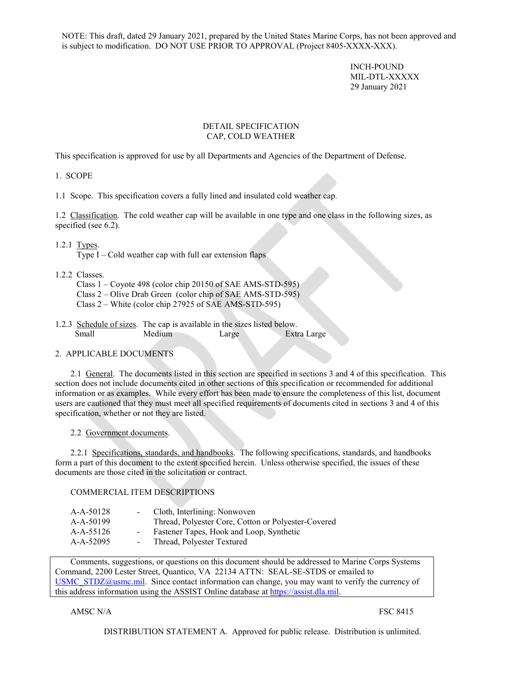NOTE: This draft, dated 29 January 2021, prepared by the United States Marine Corps, has not been approved and is subject to modification. DO NOT USE PRIOR TO APPROVAL (Project 8405-XXXX-XXX).

> INCH-POUND MIL-DTL-XXXXX 29 January 2021

## DETAIL SPECIFICATION CAP, COLD WEATHER

This specification is approved for use by all Departments and Agencies of the Department of Defense.

1. SCOPE

<span id="page-0-0"></span>1.1 Scope. This specification covers a fully lined and insulated cold weather cap.

1.2 Classification. The cold weather cap will be available in one type and one class in the following sizes, as specified (see 6.2).

1.2.1 Types.

Type I – Cold weather cap with full ear extension flaps

- 1.2.2 Classes.
	- Class 1 Coyote 498 (color chip 20150 of SAE AMS-STD-595)
	- Class 2 Olive Drab Green (color chip of SAE AMS-STD-595)
	- Class 2 White (color chip 27925 of SAE AMS-STD-595)
- 1.2.3 Schedule of sizes. The cap is available in the sizes listed below. Small Medium Large Extra Large

# 2. APPLICABLE DOCUMENTS

2.1 General. The documents listed in this section are specified in sections 3 and 4 of this specification. This section does not include documents cited in other sections of this specification or recommended for additional information or as examples. While every effort has been made to ensure the completeness of this list, document users are cautioned that they must meet all specified requirements of documents cited in sections 3 and 4 of this specification, whether or not they are listed.

2.2 Government documents.

2.2.1 Specifications, standards, and handbooks. The following specifications, standards, and handbooks form a part of this document to the extent specified herein. Unless otherwise specified, the issues of these documents are those cited in the solicitation or contract.

# COMMERCIAL ITEM DESCRIPTIONS

| A-A-50128   | Cloth, Interlining: Nonwoven                        |
|-------------|-----------------------------------------------------|
| $A-A-50199$ | Thread, Polyester Core, Cotton or Polyester-Covered |
| A-A-55126   | Fastener Tapes, Hook and Loop, Synthetic            |
| A-A-52095   | Thread, Polyester Textured                          |
|             |                                                     |

Comments, suggestions, or questions on this document should be addressed to Marine Corps Systems Command, 2200 Lester Street, Quantico, VA 22134 ATTN: SEAL-SE-STDS or emailed to [USMC\\_STDZ@usmc.mil.](mailto:USMC_STDZ@usmc.mil) Since contact information can change, you may want to verify the currency of this address information using the ASSIST Online database at https://assist.dla.mil.

# AMSC N/A FSC 8415

DISTRIBUTION STATEMENT A. Approved for public release. Distribution is unlimited.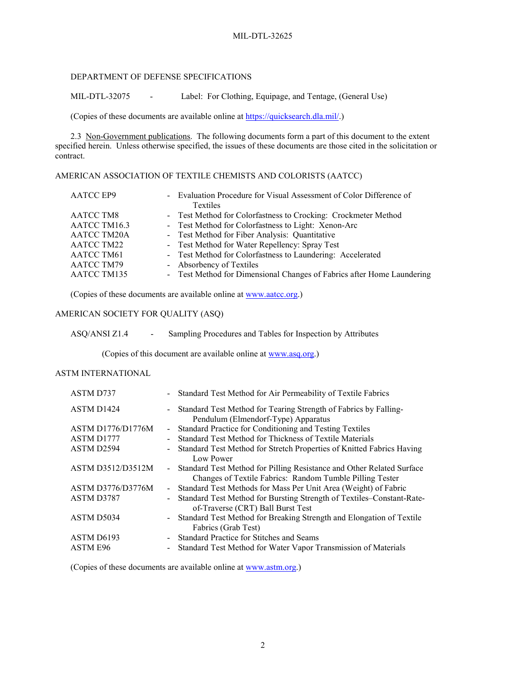### DEPARTMENT OF DEFENSE SPECIFICATIONS

MIL-DTL-32075 - Label: For Clothing, Equipage, and Tentage, (General Use)

(Copies of these documents are available online at [https://quicksearch.dla.mil/.](https://quicksearch.dla.mil/))

2.3 Non-Government publications. The following documents form a part of this document to the extent specified herein. Unless otherwise specified, the issues of these documents are those cited in the solicitation or contract.

# AMERICAN ASSOCIATION OF TEXTILE CHEMISTS AND COLORISTS (AATCC)

| <b>AATCC EP9</b>   | - Evaluation Procedure for Visual Assessment of Color Difference of    |
|--------------------|------------------------------------------------------------------------|
|                    | Textiles                                                               |
| <b>AATCC TM8</b>   | - Test Method for Colorfastness to Crocking: Crockmeter Method         |
| AATCC TM16.3       | - Test Method for Colorfastness to Light: Xenon-Arc                    |
| <b>AATCC TM20A</b> | - Test Method for Fiber Analysis: Quantitative                         |
| AATCC TM22         | - Test Method for Water Repellency: Spray Test                         |
| AATCC TM61         | - Test Method for Colorfastness to Laundering: Accelerated             |
| AATCC TM79         | - Absorbency of Textiles                                               |
| AATCC TM135        | - Test Method for Dimensional Changes of Fabrics after Home Laundering |

(Copies of these documents are available online at [www.aatcc.org.](http://www.aatcc.org/))

# AMERICAN SOCIETY FOR QUALITY (ASQ)

ASQ/ANSI Z1.4 - Sampling Procedures and Tables for Inspection by Attributes

(Copies of this document are available online at www.asq.org.)

# ASTM INTERNATIONAL

| ASTM D737                |        | - Standard Test Method for Air Permeability of Textile Fabrics                                                                      |
|--------------------------|--------|-------------------------------------------------------------------------------------------------------------------------------------|
| ASTM D1424               |        | - Standard Test Method for Tearing Strength of Fabrics by Falling-<br>Pendulum (Elmendorf-Type) Apparatus                           |
| <b>ASTM D1776/D1776M</b> | $\sim$ | Standard Practice for Conditioning and Testing Textiles                                                                             |
| ASTM D1777               |        | Standard Test Method for Thickness of Textile Materials                                                                             |
| ASTM D2594               |        | Standard Test Method for Stretch Properties of Knitted Fabrics Having<br>Low Power                                                  |
| ASTM D3512/D3512M        |        | - Standard Test Method for Pilling Resistance and Other Related Surface<br>Changes of Textile Fabrics: Random Tumble Pilling Tester |
| ASTM D3776/D3776M        | $\sim$ | Standard Test Methods for Mass Per Unit Area (Weight) of Fabric                                                                     |
| ASTM D3787               |        | Standard Test Method for Bursting Strength of Textiles-Constant-Rate-<br>of-Traverse (CRT) Ball Burst Test                          |
| ASTM D5034               |        | - Standard Test Method for Breaking Strength and Elongation of Textile<br>Fabrics (Grab Test)                                       |
| ASTM D6193               |        | - Standard Practice for Stitches and Seams                                                                                          |
| ASTM E96                 |        | Standard Test Method for Water Vapor Transmission of Materials                                                                      |

(Copies of these documents are available online at [www.astm.org.](http://www.astm.org/))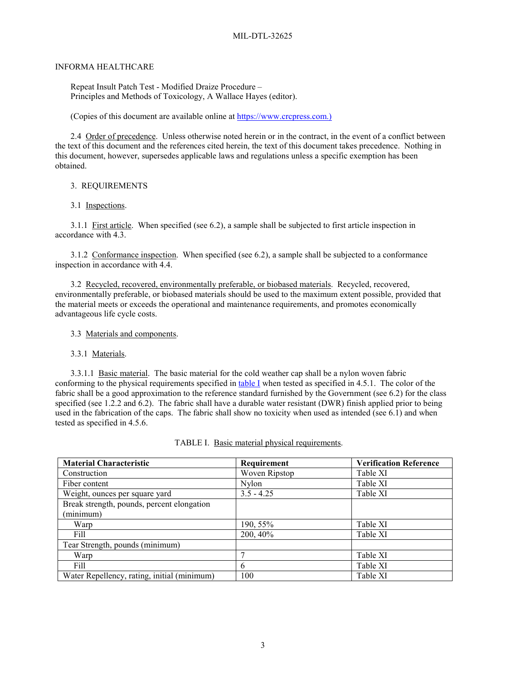### INFORMA HEALTHCARE

Repeat Insult Patch Test - Modified Draize Procedure – Principles and Methods of Toxicology, A Wallace Hayes (editor).

(Copies of this document are available online at https://www.crcpress.com.)

2.4 Order of precedence. Unless otherwise noted herein or in the contract, in the event of a conflict between the text of this document and the references cited herein, the text of this document takes precedence. Nothing in this document, however, supersedes applicable laws and regulations unless a specific exemption has been obtained.

### 3. REQUIREMENTS

### 3.1 Inspections.

3.1.1 First article. When specified (see 6.2), a sample shall be subjected to first article inspection in accordance with 4.3.

3.1.2 Conformance inspection. When specified (see 6.2), a sample shall be subjected to a conformance inspection in accordance with [4.4.](#page-7-0)

3.2 Recycled, recovered, environmentally preferable, or biobased materials. Recycled, recovered, environmentally preferable, or biobased materials should be used to the maximum extent possible, provided that the material meets or exceeds the operational and maintenance requirements, and promotes economically advantageous life cycle costs.

### 3.3 Materials and components.

3.3.1 Materials.

3.3.1.1 Basic material. The basic material for the cold weather cap shall be a nylon woven fabric conforming to the physical requirements specified in table I when tested as specified in [4.5.1.](#page-8-0) The color of the fabric shall be a good approximation to the reference standard furnished by the Government (see 6.2) for the class specified (see 1.2.2 and 6.2). The fabric shall have a durable water resistant (DWR) finish applied prior to being used in the fabrication of the caps. The fabric shall show no toxicity when used as intended (see 6.1) and when tested as specified in 4.5.6.

| <b>Material Characteristic</b>              | Requirement   | <b>Verification Reference</b> |
|---------------------------------------------|---------------|-------------------------------|
| Construction                                | Woven Ripstop | Table XI                      |
| Fiber content                               | <b>Nylon</b>  | Table XI                      |
| Weight, ounces per square yard              | $3.5 - 4.25$  | Table XI                      |
| Break strength, pounds, percent elongation  |               |                               |
| (minimum)                                   |               |                               |
| Warp                                        | 190, 55%      | Table XI                      |
| Fill                                        | 200, 40%      | Table XI                      |
| Tear Strength, pounds (minimum)             |               |                               |
| Warp                                        |               | Table XI                      |
| Fill                                        | 6             | Table XI                      |
| Water Repellency, rating, initial (minimum) | 100           | Table XI                      |

| TABLE I. Basic material physical requirements. |  |  |
|------------------------------------------------|--|--|
|                                                |  |  |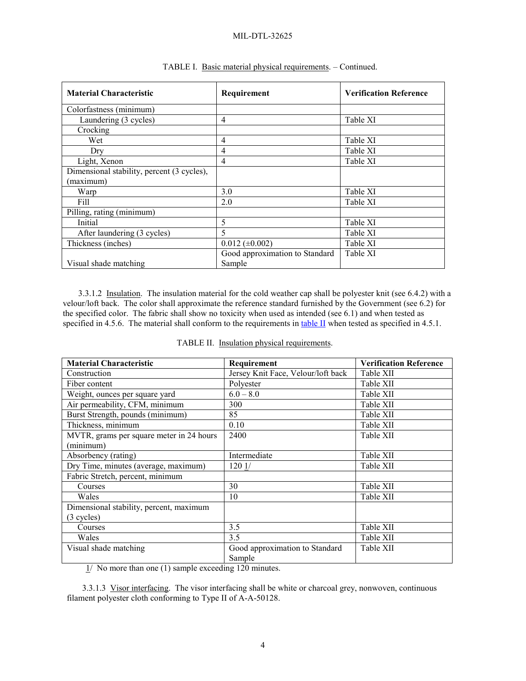| <b>Material Characteristic</b>             | Requirement                    | <b>Verification Reference</b> |
|--------------------------------------------|--------------------------------|-------------------------------|
| Colorfastness (minimum)                    |                                |                               |
| Laundering (3 cycles)                      | 4                              | Table XI                      |
| Crocking                                   |                                |                               |
| Wet                                        | $\overline{4}$                 | Table XI                      |
| Dry                                        | $\overline{4}$                 | Table XI                      |
| Light, Xenon                               | $\overline{4}$                 | Table XI                      |
| Dimensional stability, percent (3 cycles), |                                |                               |
| (maximum)                                  |                                |                               |
| Warp                                       | 3.0                            | Table XI                      |
| Fill                                       | 2.0                            | Table XI                      |
| Pilling, rating (minimum)                  |                                |                               |
| Initial                                    | 5                              | Table XI                      |
| After laundering (3 cycles)                | 5                              | Table XI                      |
| Thickness (inches)                         | $0.012 (\pm 0.002)$            | Table XI                      |
|                                            | Good approximation to Standard | Table XI                      |
| Visual shade matching                      | Sample                         |                               |

# TABLE I. Basic material physical requirements. – Continued.

3.3.1.2 Insulation. The insulation material for the cold weather cap shall be polyester knit (see 6.4.2) with a velour/loft back. The color shall approximate the reference standard furnished by the Government (see 6.2) for the specified color. The fabric shall show no toxicity when used as intended (see 6.1) and when tested as specified in 4.5.6. The material shall conform to the requirements in table II when tested as specified in [4.5.1.](#page-8-0)

| <b>Material Characteristic</b>           | Requirement                        | <b>Verification Reference</b> |
|------------------------------------------|------------------------------------|-------------------------------|
| Construction                             | Jersey Knit Face, Velour/loft back | Table XII                     |
| Fiber content                            | Polyester                          | Table XII                     |
| Weight, ounces per square yard           | $6.0 - 8.0$                        | Table XII                     |
| Air permeability, CFM, minimum           | 300                                | Table XII                     |
| Burst Strength, pounds (minimum)         | 85                                 | Table XII                     |
| Thickness, minimum                       | 0.10                               | Table XII                     |
| MVTR, grams per square meter in 24 hours | 2400                               | Table XII                     |
| (minimum)                                |                                    |                               |
| Absorbency (rating)                      | Intermediate                       | Table XII                     |
| Dry Time, minutes (average, maximum)     | 1201/                              | Table XII                     |
| Fabric Stretch, percent, minimum         |                                    |                               |
| Courses                                  | 30                                 | Table XII                     |
| Wales                                    | 10                                 | Table XII                     |
| Dimensional stability, percent, maximum  |                                    |                               |
| $(3 \text{ cycles})$                     |                                    |                               |
| Courses                                  | 3.5                                | Table XII                     |
| Wales                                    | 3.5                                | Table XII                     |
| Visual shade matching                    | Good approximation to Standard     | Table XII                     |
|                                          | Sample                             |                               |

| TABLE II. Insulation physical requirements. |  |  |  |
|---------------------------------------------|--|--|--|
|                                             |  |  |  |

 $1/$  No more than one (1) sample exceeding 120 minutes.

3.3.1.3 Visor interfacing. The visor interfacing shall be white or charcoal grey, nonwoven, continuous filament polyester cloth conforming to Type II of A-A-50128.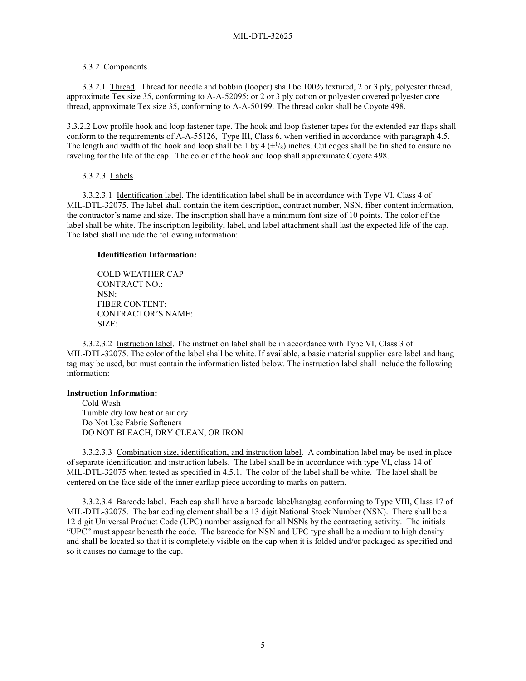### 3.3.2 Components.

3.3.2.1 Thread. Thread for needle and bobbin (looper) shall be 100% textured, 2 or 3 ply, polyester thread, approximate Tex size 35, conforming to A-A-52095; or 2 or 3 ply cotton or polyester covered polyester core thread, approximate Tex size 35, conforming to A-A-50199. The thread color shall be Coyote 498.

3.3.2.2 Low profile hook and loop fastener tape. The hook and loop fastener tapes for the extended ear flaps shall conform to the requirements of A-A-55126, Type III, Class 6, when verified in accordance with paragraph 4.5. The length and width of the hook and loop shall be 1 by 4  $(\pm \frac{1}{8})$  inches. Cut edges shall be finished to ensure no raveling for the life of the cap. The color of the hook and loop shall approximate Coyote 498.

3.3.2.3 Labels.

3.3.2.3.1 Identification label. The identification label shall be in accordance with Type VI, Class 4 of MIL-DTL-32075. The label shall contain the item description, contract number, NSN, fiber content information, the contractor's name and size. The inscription shall have a minimum font size of 10 points. The color of the label shall be white. The inscription legibility, label, and label attachment shall last the expected life of the cap. The label shall include the following information:

## **Identification Information:**

COLD WEATHER CAP CONTRACT NO.: NSN: FIBER CONTENT: CONTRACTOR'S NAME: SIZE:

3.3.2.3.2 Instruction label. The instruction label shall be in accordance with Type VI, Class 3 of MIL-DTL-32075. The color of the label shall be white. If available, a basic material supplier care label and hang tag may be used, but must contain the information listed below. The instruction label shall include the following information:

### **Instruction Information:**

Cold Wash Tumble dry low heat or air dry Do Not Use Fabric Softeners DO NOT BLEACH, DRY CLEAN, OR IRON

3.3.2.3.3 Combination size, identification, and instruction label. A combination label may be used in place of separate identification and instruction labels. The label shall be in accordance with type VI, class 14 of MIL-DTL-32075 when tested as specified in [4.5.1.](#page-8-0) The color of the label shall be white. The label shall be centered on the face side of the inner earflap piece according to marks on pattern.

3.3.2.3.4 Barcode label. Each cap shall have a barcode label/hangtag conforming to Type VIII, Class 17 of MIL-DTL-32075. The bar coding element shall be a 13 digit National Stock Number (NSN). There shall be a 12 digit Universal Product Code (UPC) number assigned for all NSNs by the contracting activity. The initials "UPC" must appear beneath the code. The barcode for NSN and UPC type shall be a medium to high density and shall be located so that it is completely visible on the cap when it is folded and/or packaged as specified and so it causes no damage to the cap.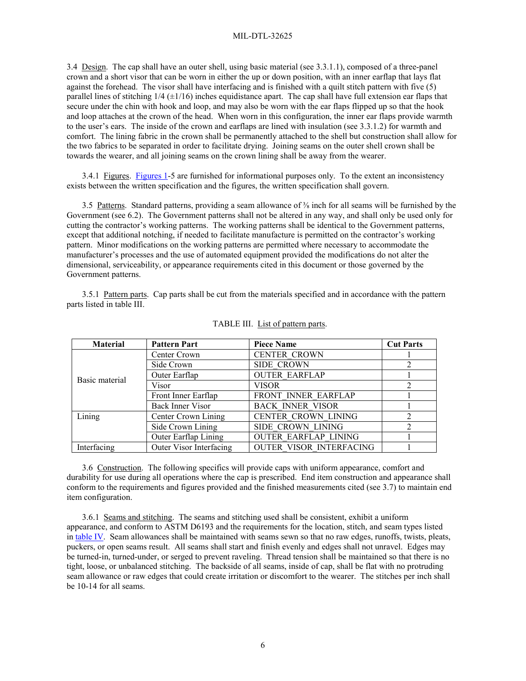3.4 Design. The cap shall have an outer shell, using basic material (see 3.3.1.1), composed of a three-panel crown and a short visor that can be worn in either the up or down position, with an inner earflap that lays flat against the forehead. The visor shall have interfacing and is finished with a quilt stitch pattern with five (5) parallel lines of stitching 1/4 (±1/16) inches equidistance apart. The cap shall have full extension ear flaps that secure under the chin with hook and loop, and may also be worn with the ear flaps flipped up so that the hook and loop attaches at the crown of the head. When worn in this configuration, the inner ear flaps provide warmth to the user's ears. The inside of the crown and earflaps are lined with insulation (see 3.3.1.2) for warmth and comfort. The lining fabric in the crown shall be permanently attached to the shell but construction shall allow for the two fabrics to be separated in order to facilitate drying. Joining seams on the outer shell crown shall be towards the wearer, and all joining seams on the crown lining shall be away from the wearer.

3.4.1 Figures. [Figures 1-](#page-14-0)5 are furnished for informational purposes only. To the extent an inconsistency exists between the written specification and the figures, the written specification shall govern.

3.5 Patterns. Standard patterns, providing a seam allowance of  $\frac{3}{8}$  inch for all seams will be furnished by the Government (see 6.2). The Government patterns shall not be altered in any way, and shall only be used only for cutting the contractor's working patterns. The working patterns shall be identical to the Government patterns, except that additional notching, if needed to facilitate manufacture is permitted on the contractor's working pattern. Minor modifications on the working patterns are permitted where necessary to accommodate the manufacturer's processes and the use of automated equipment provided the modifications do not alter the dimensional, serviceability, or appearance requirements cited in this document or those governed by the Government patterns.

3.5.1 Pattern parts. Cap parts shall be cut from the materials specified and in accordance with the pattern parts listed in table III.

| <b>Material</b> | <b>Pattern Part</b>     | <b>Piece Name</b>           | <b>Cut Parts</b> |
|-----------------|-------------------------|-----------------------------|------------------|
|                 | Center Crown            | <b>CENTER CROWN</b>         |                  |
|                 | Side Crown              | <b>SIDE CROWN</b>           |                  |
| Basic material  | Outer Earflap           | <b>OUTER EARFLAP</b>        |                  |
|                 | Visor                   | <b>VISOR</b>                |                  |
|                 | Front Inner Earflap     | FRONT INNER EARFLAP         |                  |
|                 | Back Inner Visor        | <b>BACK INNER VISOR</b>     |                  |
| Lining          | Center Crown Lining     | CENTER CROWN LINING         |                  |
|                 | Side Crown Lining       | SIDE CROWN LINING           |                  |
|                 | Outer Earflap Lining    | <b>OUTER EARFLAP LINING</b> |                  |
| Interfacing     | Outer Visor Interfacing | OUTER VISOR INTERFACING     |                  |

#### TABLE III. List of pattern parts.

3.6 Construction. The following specifics will provide caps with uniform appearance, comfort and durability for use during all operations where the cap is prescribed. End item construction and appearance shall conform to the requirements and figures provided and the finished measurements cited (see 3.7) to maintain end item configuration.

3.6.1 Seams and stitching. The seams and stitching used shall be consistent, exhibit a uniform appearance, and conform to ASTM D6193 and the requirements for the location, stitch, and seam types listed in table IV. Seam allowances shall be maintained with seams sewn so that no raw edges, runoffs, twists, pleats, puckers, or open seams result. All seams shall start and finish evenly and edges shall not unravel. Edges may be turned-in, turned-under, or serged to prevent raveling. Thread tension shall be maintained so that there is no tight, loose, or unbalanced stitching. The backside of all seams, inside of cap, shall be flat with no protruding seam allowance or raw edges that could create irritation or discomfort to the wearer. The stitches per inch shall be 10-14 for all seams.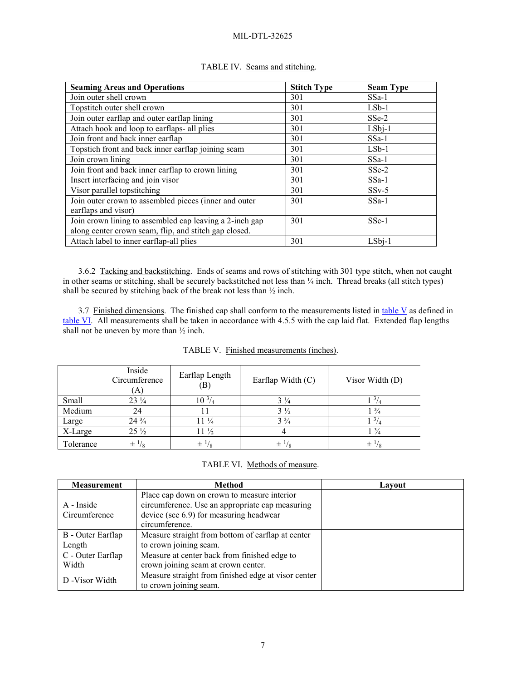| <b>Seaming Areas and Operations</b>                     | <b>Stitch Type</b> | <b>Seam Type</b> |
|---------------------------------------------------------|--------------------|------------------|
| Join outer shell crown                                  | 301                | $SSa-1$          |
| Topstitch outer shell crown                             | 301                | $LSb-1$          |
| Join outer earflap and outer earflap lining             | 301                | $SSe-2$          |
| Attach hook and loop to earflaps- all plies             | 301                | $LSbj-1$         |
| Join front and back inner earflap                       | 301                | $SSa-1$          |
| Topstich front and back inner earflap joining seam      | 301                | $LSb-1$          |
| Join crown lining                                       | 301                | $SSa-1$          |
| Join front and back inner earflap to crown lining       | 301                | $SSe-2$          |
| Insert interfacing and join visor                       | 301                | $SSa-1$          |
| Visor parallel topstitching                             | 301                | $SSv-5$          |
| Join outer crown to assembled pieces (inner and outer   | 301                | $SSa-1$          |
| earflaps and visor)                                     |                    |                  |
| Join crown lining to assembled cap leaving a 2-inch gap | 301                | $SSc-1$          |
| along center crown seam, flip, and stitch gap closed.   |                    |                  |
| Attach label to inner earflap-all plies                 | 301                | $LSbj-1$         |

# TABLE IV. Seams and stitching.

3.6.2 Tacking and backstitching. Ends of seams and rows of stitching with 301 type stitch, when not caught in other seams or stitching, shall be securely backstitched not less than ¼ inch. Thread breaks (all stitch types) shall be secured by stitching back of the break not less than ½ inch.

3.7 Finished dimensions. The finished cap shall conform to the measurements listed in table V as defined in table VI. All measurements shall be taken in accordance with 4.5.5 with the cap laid flat. Extended flap lengths shall not be uneven by more than ½ inch.

|           | Inside<br>Circumference<br>A) | Earflap Length<br>$\left( \mathrm{B}\right)$ | Earflap Width (C) | Visor Width (D)                   |
|-----------|-------------------------------|----------------------------------------------|-------------------|-----------------------------------|
| Small     | $23\frac{1}{4}$               | $10^{3/4}$                                   | $3\frac{1}{4}$    | $\frac{3}{4}$                     |
| Medium    | 24                            |                                              | $3\frac{1}{2}$    | $1\frac{3}{4}$                    |
| Large     | $24\frac{3}{4}$               | $11\frac{1}{4}$                              | $3\frac{3}{4}$    | $1^{3}/_{4}$                      |
| X-Large   | $25\frac{1}{2}$               | $11\frac{1}{2}$                              |                   | $1\frac{3}{4}$                    |
| Tolerance | $\pm \frac{1}{8}$             | $\pm \frac{1}{8}$                            | $\pm \frac{1}{8}$ | $\pm$ <sup>1</sup> / <sub>8</sub> |

|  | TABLE VI. Methods of measure. |
|--|-------------------------------|
|--|-------------------------------|

| <b>Measurement</b> | Method                                              | Lavout |
|--------------------|-----------------------------------------------------|--------|
|                    | Place cap down on crown to measure interior         |        |
| A - Inside         | circumference. Use an appropriate cap measuring     |        |
| Circumference      | device (see 6.9) for measuring headwear             |        |
|                    | circumference.                                      |        |
| B - Outer Earflap  | Measure straight from bottom of earflap at center   |        |
| Length             | to crown joining seam.                              |        |
| C - Outer Earflap  | Measure at center back from finished edge to        |        |
| Width              | crown joining seam at crown center.                 |        |
| D - Visor Width    | Measure straight from finished edge at visor center |        |
|                    | to crown joining seam.                              |        |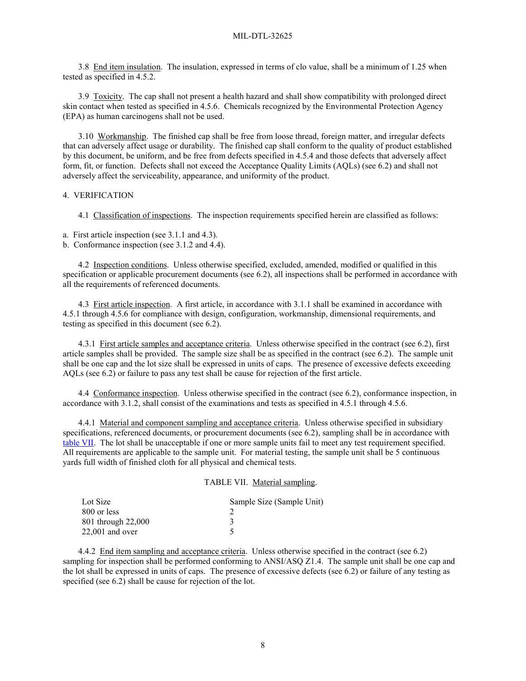3.8 End item insulation. The insulation, expressed in terms of clo value, shall be a minimum of 1.25 when tested as specified in 4.5.2.

3.9 Toxicity. The cap shall not present a health hazard and shall show compatibility with prolonged direct skin contact when tested as specified in 4.5.6. Chemicals recognized by the Environmental Protection Agency (EPA) as human carcinogens shall not be used.

3.10 Workmanship. The finished cap shall be free from loose thread, foreign matter, and irregular defects that can adversely affect usage or durability. The finished cap shall conform to the quality of product established by this document, be uniform, and be free from defects specified in 4.5.4 and those defects that adversely affect form, fit, or function. Defects shall not exceed the Acceptance Quality Limits (AQLs) (see 6.2) and shall not adversely affect the serviceability, appearance, and uniformity of the product.

### 4. VERIFICATION

4.1 Classification of inspections. The inspection requirements specified herein are classified as follows:

a. First article inspection (see 3.1.1 and 4.3).

b. Conformance inspection (see 3.1.2 and [4.4\)](#page-7-0).

4.2 Inspection conditions. Unless otherwise specified, excluded, amended, modified or qualified in this specification or applicable procurement documents (see 6.2), all inspections shall be performed in accordance with all the requirements of referenced documents.

4.3 First article inspection. A first article, in accordance with 3.1.1 shall be examined in accordance with [4.5.1](#page-8-0) through 4.5.6 for compliance with design, configuration, workmanship, dimensional requirements, and testing as specified in this document (see 6.2).

<span id="page-7-1"></span>4.3.1 First article samples and acceptance criteria. Unless otherwise specified in the contract (see 6.2), first article samples shall be provided. The sample size shall be as specified in the contract (see 6.2). The sample unit shall be one cap and the lot size shall be expressed in units of caps. The presence of excessive defects exceeding AQLs (see 6.2) or failure to pass any test shall be cause for rejection of the first article.

<span id="page-7-0"></span>4.4 Conformance inspection. Unless otherwise specified in the contract (see 6.2), conformance inspection, in accordance with 3.1.2, shall consist of the examinations and tests as specified in [4.5.1](#page-8-0) through 4.5.6.

<span id="page-7-2"></span>4.4.1 Material and component sampling and acceptance criteria. Unless otherwise specified in subsidiary specifications, referenced documents, or procurement documents (see 6.2), sampling shall be in accordance with table VII. The lot shall be unacceptable if one or more sample units fail to meet any test requirement specified. All requirements are applicable to the sample unit. For material testing, the sample unit shall be 5 continuous yards full width of finished cloth for all physical and chemical tests.

### TABLE VII. Material sampling.

| Lot Size           | Sample Size (Sample Unit) |
|--------------------|---------------------------|
| 800 or less        |                           |
| 801 through 22,000 |                           |
| $22,001$ and over  |                           |

4.4.2 End item sampling and acceptance criteria. Unless otherwise specified in the contract (see 6.2) sampling for inspection shall be performed conforming to ANSI/ASQ Z1.4. The sample unit shall be one cap and the lot shall be expressed in units of caps. The presence of excessive defects (see 6.2) or failure of any testing as specified (see 6.2) shall be cause for rejection of the lot.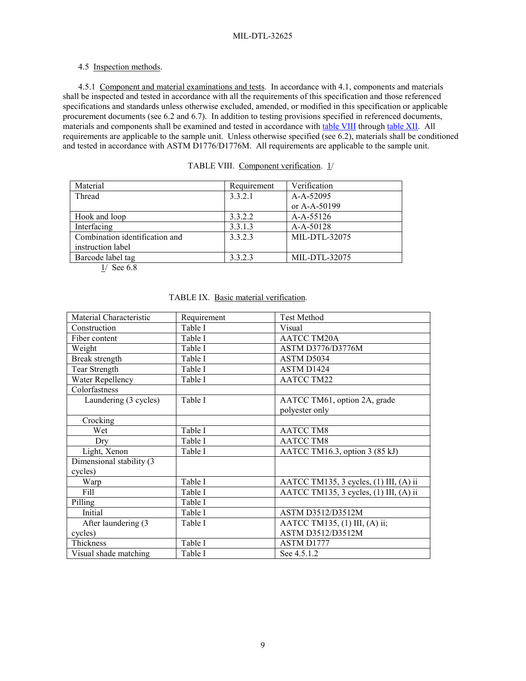# 4.5 Inspection methods.

<span id="page-8-0"></span>4.5.1 Component and material examinations and tests. In accordance with 4.1, components and materials shall be inspected and tested in accordance with all the requirements of this specification and those referenced specifications and standards unless otherwise excluded, amended, or modified in this specification or applicable procurement documents (see 6.2 and 6.7). In addition to testing provisions specified in referenced documents, materials and components shall be examined and tested in accordance with table VIII through table XII. All requirements are applicable to the sample unit. Unless otherwise specified (see 6.2), materials shall be conditioned and tested in accordance with ASTM D1776/D1776M. All requirements are applicable to the sample unit.

| Material                       | Requirement | Verification  |
|--------------------------------|-------------|---------------|
| Thread                         | 3.3.2.1     | A-A-52095     |
|                                |             | or A-A-50199  |
| Hook and loop                  | 3.3.2.2     | $A-A-55126$   |
| Interfacing                    | 3.3.1.3     | A-A-50128     |
| Combination identification and | 3.3.2.3     | MIL-DTL-32075 |
| instruction label              |             |               |
| Barcode label tag              | 3.3.2.3     | MIL-DTL-32075 |
| $1/\alpha$ $\epsilon$ 0        |             |               |

TABLE VIII. Component verification. 1/

 $1/$  See 6.8

| Material Characteristic  | Requirement | <b>Test Method</b>                     |
|--------------------------|-------------|----------------------------------------|
| Construction             | Table I     | Visual                                 |
| Fiber content            | Table I     | <b>AATCC TM20A</b>                     |
| Weight                   | Table I     | ASTM D3776/D3776M                      |
| Break strength           | Table I     | ASTM D5034                             |
| Tear Strength            | Table I     | ASTM D1424                             |
| Water Repellency         | Table I     | <b>AATCC TM22</b>                      |
| Colorfastness            |             |                                        |
| Laundering (3 cycles)    | Table I     | AATCC TM61, option 2A, grade           |
|                          |             | polyester only                         |
| Crocking                 |             |                                        |
| Wet                      | Table I     | <b>AATCC TM8</b>                       |
| Dry                      | Table I     | <b>AATCC TM8</b>                       |
| Light, Xenon             | Table I     | AATCC TM16.3, option 3 (85 kJ)         |
| Dimensional stability (3 |             |                                        |
| cycles)                  |             |                                        |
| Warp                     | Table I     | AATCC TM135, 3 cycles, (1) III, (A) ii |
| Fill                     | Table I     | AATCC TM135, 3 cycles, (1) III, (A) ii |
| Pilling                  | Table I     |                                        |
| Initial                  | Table I     | ASTM D3512/D3512M                      |
| After laundering (3      | Table I     | AATCC TM135, (1) III, (A) ii;          |
| cycles)                  |             | ASTM D3512/D3512M                      |
| Thickness                | Table I     | ASTM D1777                             |
| Visual shade matching    | Table I     | See 4.5.1.2                            |

## TABLE IX. Basic material verification.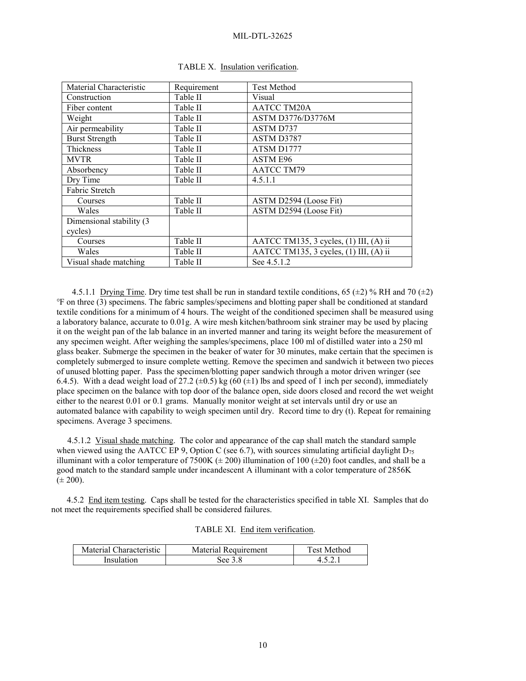| Material Characteristic  | Requirement | <b>Test Method</b>                     |
|--------------------------|-------------|----------------------------------------|
| Construction             | Table II    | Visual                                 |
| Fiber content            | Table II    | <b>AATCC TM20A</b>                     |
| Weight                   | Table II    | ASTM D3776/D3776M                      |
| Air permeability         | Table II    | ASTM D737                              |
| <b>Burst Strength</b>    | Table II    | ASTM D3787                             |
| Thickness                | Table II    | ATSM D1777                             |
| <b>MVTR</b>              | Table II    | ASTM E96                               |
| Absorbency               | Table II    | <b>AATCC TM79</b>                      |
| Dry Time                 | Table II    | 4.5.1.1                                |
| Fabric Stretch           |             |                                        |
| Courses                  | Table II    | ASTM D2594 (Loose Fit)                 |
| Wales                    | Table II    | ASTM D2594 (Loose Fit)                 |
| Dimensional stability (3 |             |                                        |
| cycles)                  |             |                                        |
| Courses                  | Table II    | AATCC TM135, 3 cycles, (1) III, (A) ii |
| Wales                    | Table II    | AATCC TM135, 3 cycles, (1) III, (A) ii |
| Visual shade matching    | Table II    | See 4.5.1.2                            |

|  | TABLE X. Insulation verification. |
|--|-----------------------------------|
|  |                                   |

4.5.1.1 Drying Time. Dry time test shall be run in standard textile conditions, 65 ( $\pm$ 2) % RH and 70 ( $\pm$ 2) ℉ on three (3) specimens. The fabric samples/specimens and blotting paper shall be conditioned at standard textile conditions for a minimum of 4 hours. The weight of the conditioned specimen shall be measured using a laboratory balance, accurate to 0.01g. A wire mesh kitchen/bathroom sink strainer may be used by placing it on the weight pan of the lab balance in an inverted manner and taring its weight before the measurement of any specimen weight. After weighing the samples/specimens, place 100 ml of distilled water into a 250 ml glass beaker. Submerge the specimen in the beaker of water for 30 minutes, make certain that the specimen is completely submerged to insure complete wetting. Remove the specimen and sandwich it between two pieces of unused blotting paper. Pass the specimen/blotting paper sandwich through a motor driven wringer (see 6.4.5). With a dead weight load of 27.2 ( $\pm$ 0.5) kg (60 ( $\pm$ 1) lbs and speed of 1 inch per second), immediately place specimen on the balance with top door of the balance open, side doors closed and record the wet weight either to the nearest 0.01 or 0.1 grams. Manually monitor weight at set intervals until dry or use an automated balance with capability to weigh specimen until dry. Record time to dry (t). Repeat for remaining specimens. Average 3 specimens.

 4.5.1.2 Visual shade matching. The color and appearance of the cap shall match the standard sample when viewed using the AATCC EP 9, Option C (see 6.7), with sources simulating artificial daylight  $D_{75}$ illuminant with a color temperature of 7500K ( $\pm$  200) illumination of 100 ( $\pm$ 20) foot candles, and shall be a good match to the standard sample under incandescent A illuminant with a color temperature of 2856K  $(\pm 200)$ .

4.5.2 End item testing. Caps shall be tested for the characteristics specified in table XI. Samples that do not meet the requirements specified shall be considered failures.

|  |  | TABLE XI. End item verification. |
|--|--|----------------------------------|
|--|--|----------------------------------|

| Material Characteristic | 1 Requirement<br>Material | Test Method |
|-------------------------|---------------------------|-------------|
| Insulation              | See 3.8                   |             |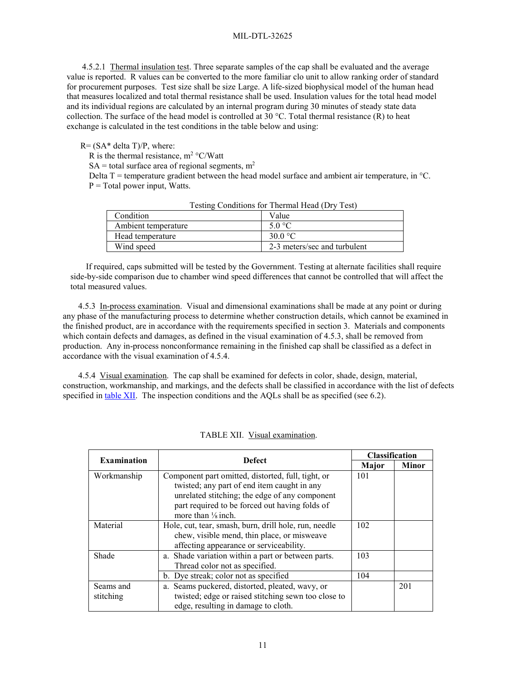4.5.2.1 Thermal insulation test. Three separate samples of the cap shall be evaluated and the average value is reported. R values can be converted to the more familiar clo unit to allow ranking order of standard for procurement purposes. Test size shall be size Large. A life-sized biophysical model of the human head that measures localized and total thermal resistance shall be used. Insulation values for the total head model and its individual regions are calculated by an internal program during 30 minutes of steady state data collection. The surface of the head model is controlled at 30 °C. Total thermal resistance  $(R)$  to heat exchange is calculated in the test conditions in the table below and using:

## $R = (SA^*$  delta T $)/P$ , where:

R is the thermal resistance,  $m^2$  °C/Watt

 $SA =$  total surface area of regional segments,  $m<sup>2</sup>$ 

Delta T = temperature gradient between the head model surface and ambient air temperature, in  $^{\circ}C$ .  $P = Total power input, Watts.$ 

| Condition.          | Value                        |
|---------------------|------------------------------|
| Ambient temperature | 5.0 °C                       |
| Head temperature    | 30.0 $\mathrm{^{\circ}C}$    |
| Wind speed          | 2-3 meters/sec and turbulent |
|                     |                              |

Testing Conditions for Thermal Head (Dry Test)

If required, caps submitted will be tested by the Government. Testing at alternate facilities shall require side-by-side comparison due to chamber wind speed differences that cannot be controlled that will affect the total measured values.

4.5.3 In-process examination. Visual and dimensional examinations shall be made at any point or during any phase of the manufacturing process to determine whether construction details, which cannot be examined in the finished product, are in accordance with the requirements specified in section 3. Materials and components which contain defects and damages, as defined in the visual examination of 4.5.3, shall be removed from production. Any in-process nonconformance remaining in the finished cap shall be classified as a defect in accordance with the visual examination of 4.5.4.

4.5.4 Visual examination. The cap shall be examined for defects in color, shade, design, material, construction, workmanship, and markings, and the defects shall be classified in accordance with the list of defects specified in table XII. The inspection conditions and the AQLs shall be as specified (see 6.2).

| <b>Examination</b> | <b>Defect</b>                                         | <b>Classification</b> |       |
|--------------------|-------------------------------------------------------|-----------------------|-------|
|                    |                                                       | Major                 | Minor |
| Workmanship        | Component part omitted, distorted, full, tight, or    | 101                   |       |
|                    | twisted; any part of end item caught in any           |                       |       |
|                    | unrelated stitching; the edge of any component        |                       |       |
|                    | part required to be forced out having folds of        |                       |       |
|                    | more than $\frac{1}{8}$ inch.                         |                       |       |
| Material           | Hole, cut, tear, smash, burn, drill hole, run, needle | 102                   |       |
|                    | chew, visible mend, thin place, or misweave           |                       |       |
|                    | affecting appearance or serviceability.               |                       |       |
| Shade              | a. Shade variation within a part or between parts.    | 103                   |       |
|                    | Thread color not as specified.                        |                       |       |
|                    | b. Dye streak; color not as specified                 | 104                   |       |
| Seams and          | a. Seams puckered, distorted, pleated, wavy, or       |                       | 201   |
| stitching          | twisted; edge or raised stitching sewn too close to   |                       |       |
|                    | edge, resulting in damage to cloth.                   |                       |       |

TABLE XII. Visual examination.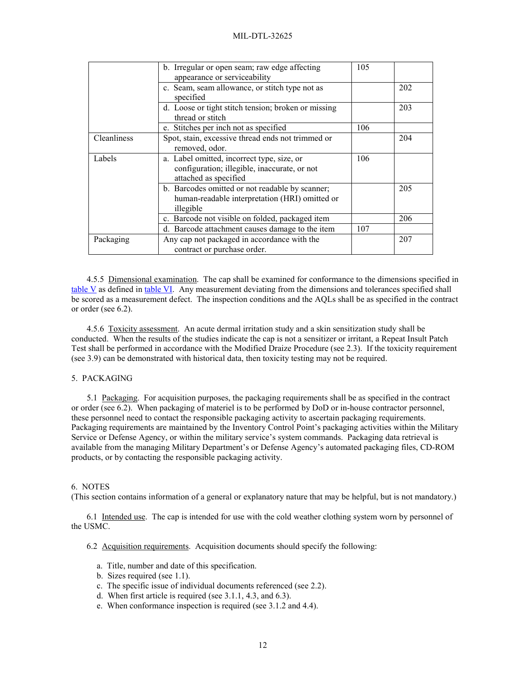|             | b. Irregular or open seam; raw edge affecting<br>appearance or serviceability                                       | 105 |     |
|-------------|---------------------------------------------------------------------------------------------------------------------|-----|-----|
|             | c. Seam, seam allowance, or stitch type not as<br>specified                                                         |     | 202 |
|             | d. Loose or tight stitch tension; broken or missing<br>thread or stitch                                             |     | 203 |
|             | e. Stitches per inch not as specified                                                                               | 106 |     |
| Cleanliness | Spot, stain, excessive thread ends not trimmed or<br>removed, odor.                                                 |     | 204 |
| Labels      | a. Label omitted, incorrect type, size, or<br>configuration; illegible, inaccurate, or not<br>attached as specified | 106 |     |
|             | b. Barcodes omitted or not readable by scanner;<br>human-readable interpretation (HRI) omitted or<br>illegible      |     | 205 |
|             | c. Barcode not visible on folded, packaged item                                                                     |     | 206 |
|             | d. Barcode attachment causes damage to the item                                                                     | 107 |     |
| Packaging   | Any cap not packaged in accordance with the<br>contract or purchase order.                                          |     | 207 |

4.5.5 Dimensional examination. The cap shall be examined for conformance to the dimensions specified in table V as defined in table VI. Any measurement deviating from the dimensions and tolerances specified shall be scored as a measurement defect. The inspection conditions and the AQLs shall be as specified in the contract or order (see 6.2).

4.5.6 Toxicity assessment. An acute dermal irritation study and a skin sensitization study shall be conducted. When the results of the studies indicate the cap is not a sensitizer or irritant, a Repeat Insult Patch Test shall be performed in accordance with the Modified Draize Procedure (see 2.3). If the toxicity requirement (see 3.9) can be demonstrated with historical data, then toxicity testing may not be required.

# 5. PACKAGING

5.1 Packaging. For acquisition purposes, the packaging requirements shall be as specified in the contract or order (see 6.2). When packaging of materiel is to be performed by DoD or in-house contractor personnel, these personnel need to contact the responsible packaging activity to ascertain packaging requirements. Packaging requirements are maintained by the Inventory Control Point's packaging activities within the Military Service or Defense Agency, or within the military service's system commands. Packaging data retrieval is available from the managing Military Department's or Defense Agency's automated packaging files, CD-ROM products, or by contacting the responsible packaging activity.

## 6. NOTES

(This section contains information of a general or explanatory nature that may be helpful, but is not mandatory.)

6.1 Intended use. The cap is intended for use with the cold weather clothing system worn by personnel of the USMC.

6.2 Acquisition requirements. Acquisition documents should specify the following:

- a. Title, number and date of this specification.
- b. Sizes required (see [1.1\)](#page-0-0).
- c. The specific issue of individual documents referenced (see 2.2).
- d. When first article is required (see 3.1.1, 4.3, and 6.3).
- e. When conformance inspection is required (see 3.1.2 and [4.4\)](#page-7-0).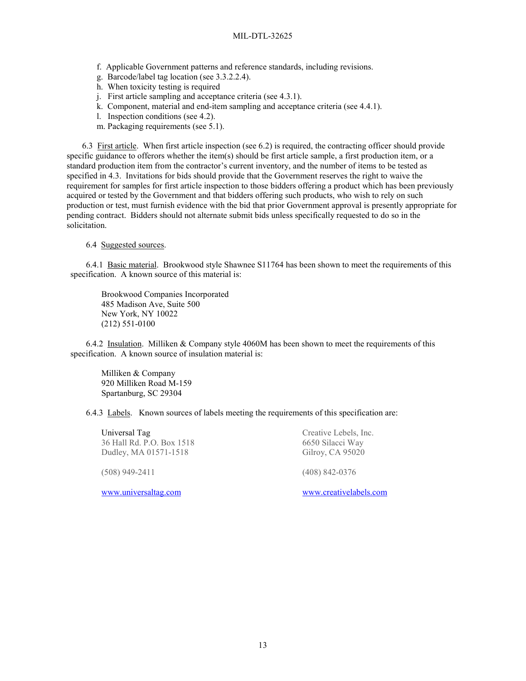- f. Applicable Government patterns and reference standards, including revisions.
- g. Barcode/label tag location (see 3.3.2.2.4).
- h. When toxicity testing is required
- j. First article sampling and acceptance criteria (se[e 4.3.1\)](#page-7-1).
- k. Component, material and end-item sampling and acceptance criteria (see [4.4.1\)](#page-7-2).
- l. Inspection conditions (see 4.2).
- m. Packaging requirements (see 5.1).

6.3 First article. When first article inspection (see 6.2) is required, the contracting officer should provide specific guidance to offerors whether the item(s) should be first article sample, a first production item, or a standard production item from the contractor's current inventory, and the number of items to be tested as specified in 4.3. Invitations for bids should provide that the Government reserves the right to waive the requirement for samples for first article inspection to those bidders offering a product which has been previously acquired or tested by the Government and that bidders offering such products, who wish to rely on such production or test, must furnish evidence with the bid that prior Government approval is presently appropriate for pending contract. Bidders should not alternate submit bids unless specifically requested to do so in the solicitation.

#### 6.4 Suggested sources.

6.4.1 Basic material. Brookwood style Shawnee S11764 has been shown to meet the requirements of this specification. A known source of this material is:

Brookwood Companies Incorporated 485 Madison Ave, Suite 500 New York, NY 10022 (212) 551-0100

6.4.2 Insulation. Milliken & Company style 4060M has been shown to meet the requirements of this specification. A known source of insulation material is:

Milliken & Company 920 Milliken Road M-159 Spartanburg, SC 29304

6.4.3 Labels. Known sources of labels meeting the requirements of this specification are:

Universal Tag 36 Hall Rd. P.O. Box 1518 Dudley, MA 01571-1518

(508) 949-2411

[www.universaltag.com](http://www.universaltag.com/)

Creative Lebels, Inc. 6650 Silacci Way Gilroy, CA 95020

[\(408\) 842-0376](tel:4088420376)

[www.creativelabels.com](http://www.creativelabels.com/)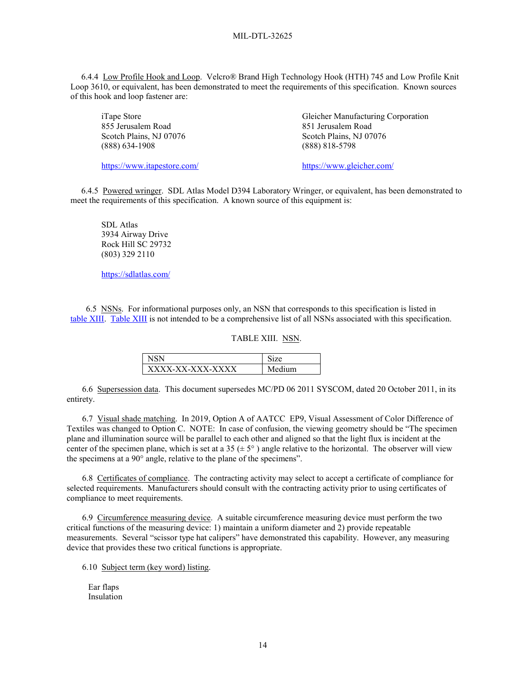6.4.4 Low Profile Hook and Loop. Velcro® Brand High Technology Hook (HTH) 745 and Low Profile Knit Loop 3610, or equivalent, has been demonstrated to meet the requirements of this specification. Known sources of this hook and loop fastener are:

iTape Store 855 Jerusalem Road Scotch Plains, NJ 07076 [\(888\) 634-1908](tel:+18886341908)

<https://www.itapestore.com/>

Gleicher Manufacturing Corporation 851 Jerusalem Road Scotch Plains, NJ 07076 (888) 818-5798

[https://www.gleicher.com/](https://www.gleicher.com/velcro/hook-and-loop) 

 6.4.5 Powered wringer. SDL Atlas Model D394 Laboratory Wringer, or equivalent, has been demonstrated to meet the requirements of this specification. A known source of this equipment is:

SDL Atlas 3934 Airway Drive Rock Hill SC 29732 (803) 329 2110

<https://sdlatlas.com/>

6.5 NSNs. For informational purposes only, an NSN that corresponds to this specification is listed in table XIII. Table XIII is not intended to be a comprehensive list of all NSNs associated with this specification.

### TABLE XIII. NSN.

| XXXX-XX-XXX-XXXX | ำเท |
|------------------|-----|

6.6 Supersession data. This document supersedes MC/PD 06 2011 SYSCOM, dated 20 October 2011, in its entirety.

6.7 Visual shade matching. In 2019, Option A of AATCC EP9, Visual Assessment of Color Difference of Textiles was changed to Option C. NOTE: In case of confusion, the viewing geometry should be "The specimen plane and illumination source will be parallel to each other and aligned so that the light flux is incident at the center of the specimen plane, which is set at a 35 ( $\pm$  5 $^{\circ}$ ) angle relative to the horizontal. The observer will view the specimens at a 90° angle, relative to the plane of the specimens".

6.8 Certificates of compliance. The contracting activity may select to accept a certificate of compliance for selected requirements. Manufacturers should consult with the contracting activity prior to using certificates of compliance to meet requirements.

6.9 Circumference measuring device. A suitable circumference measuring device must perform the two critical functions of the measuring device: 1) maintain a uniform diameter and 2) provide repeatable measurements. Several "scissor type hat calipers" have demonstrated this capability. However, any measuring device that provides these two critical functions is appropriate.

6.10 Subject term (key word) listing.

 Ear flaps Insulation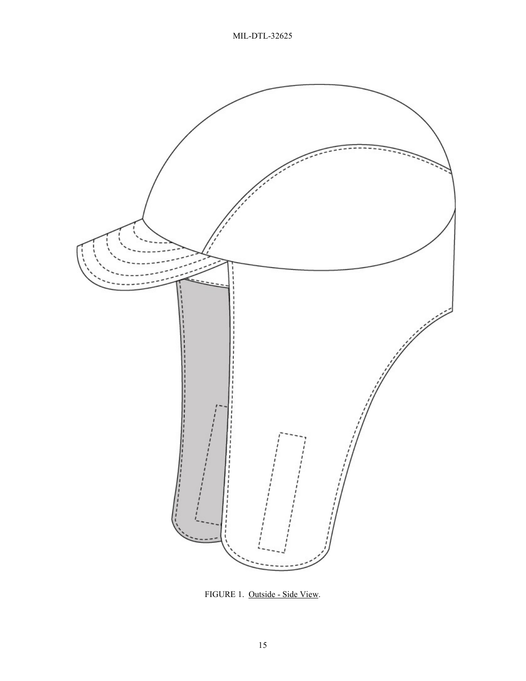

<span id="page-14-0"></span>FIGURE 1. Outside - Side View.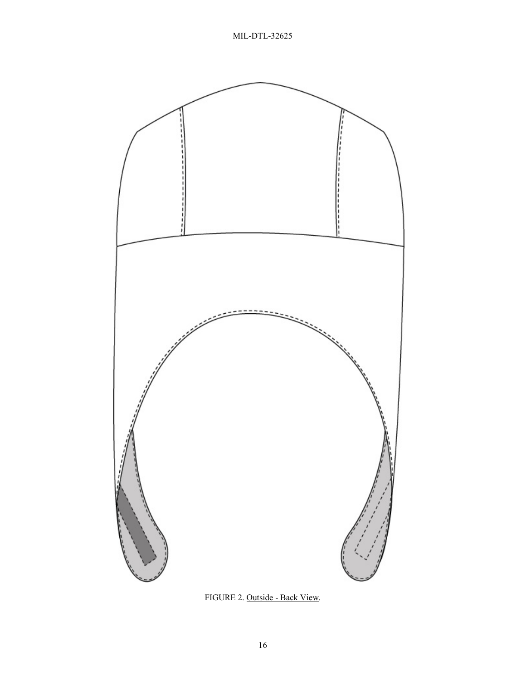

FIGURE 2. Outside - Back View.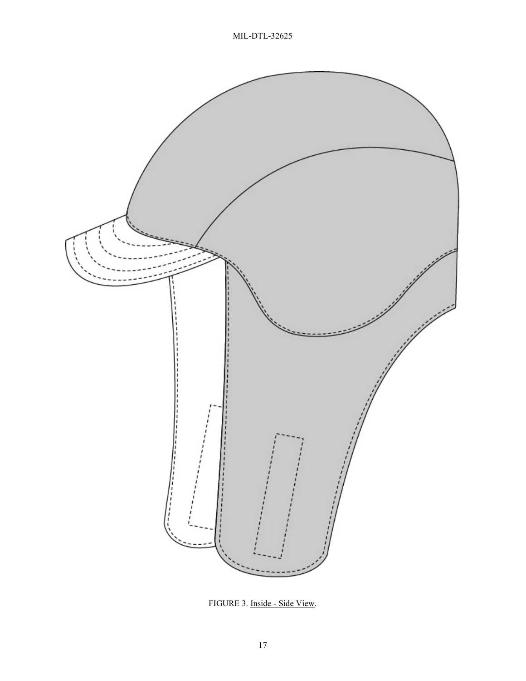

FIGURE 3. Inside - Side View.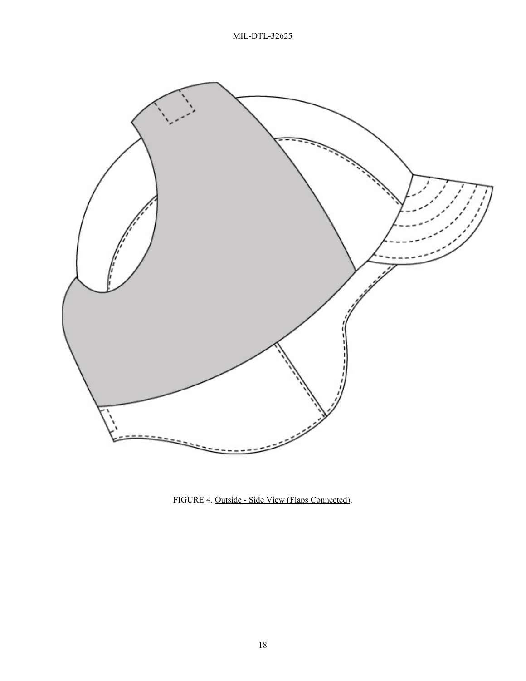

FIGURE 4. Outside - Side View (Flaps Connected).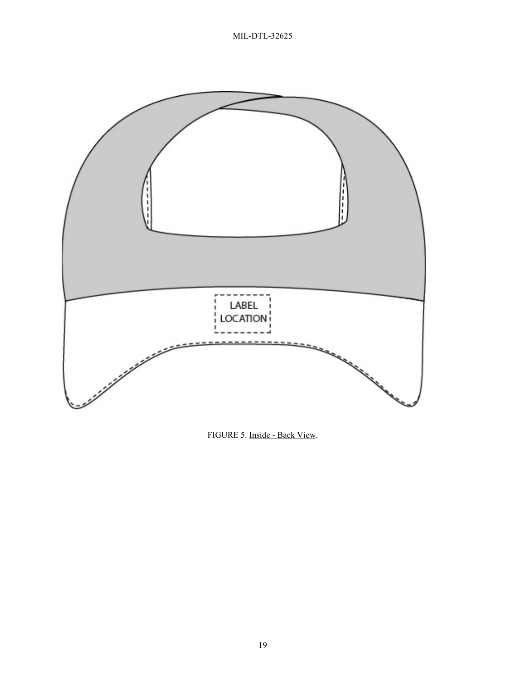

FIGURE 5. Inside - Back View.